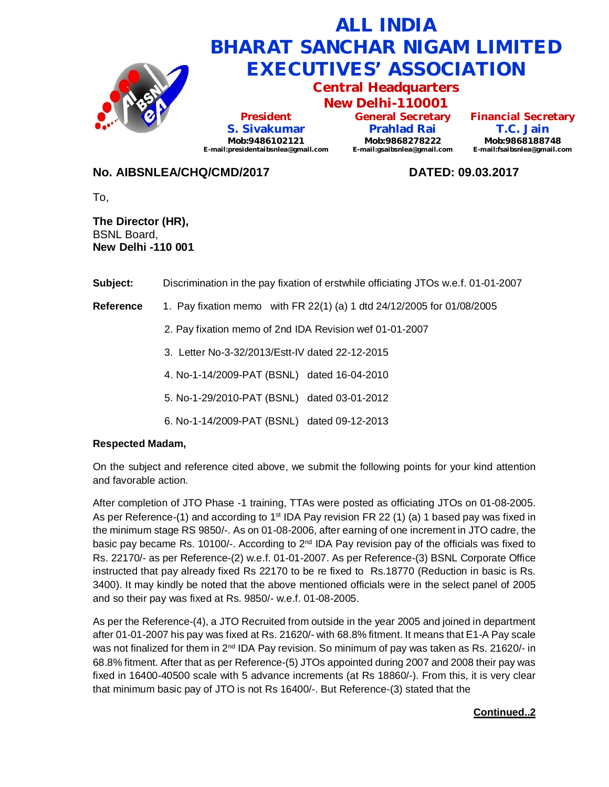

## **No. AIBSNLEA/CHQ/CMD/2017 DATED: 09.03.2017**

To,

**The Director (HR),** BSNL Board, **New Delhi -110 001**

**Subject:** Discrimination in the pay fixation of erstwhile officiating JTOs w.e.f. 01-01-2007

**Reference** 1. Pay fixation memo with FR 22(1) (a) 1 dtd 24/12/2005 for 01/08/2005

2. Pay fixation memo of 2nd IDA Revision wef 01-01-2007

3. Letter No-3-32/2013/Estt-IV dated 22-12-2015

4. No-1-14/2009-PAT (BSNL) dated 16-04-2010

5. No-1-29/2010-PAT (BSNL) dated 03-01-2012

6. No-1-14/2009-PAT (BSNL) dated 09-12-2013

## **Respected Madam,**

On the subject and reference cited above, we submit the following points for your kind attention and favorable action.

After completion of JTO Phase -1 training, TTAs were posted as officiating JTOs on 01-08-2005. As per Reference-(1) and according to 1<sup>st</sup> IDA Pay revision FR 22 (1) (a) 1 based pay was fixed in the minimum stage RS 9850/-. As on 01-08-2006, after earning of one increment in JTO cadre, the basic pay became Rs. 10100/-. According to  $2<sup>nd</sup>$  IDA Pay revision pay of the officials was fixed to Rs. 22170/- as per Reference-(2) w.e.f. 01-01-2007. As per Reference-(3) BSNL Corporate Office instructed that pay already fixed Rs 22170 to be re fixed to Rs.18770 (Reduction in basic is Rs. 3400). It may kindly be noted that the above mentioned officials were in the select panel of 2005 and so their pay was fixed at Rs. 9850/- w.e.f. 01-08-2005.

As per the Reference-(4), a JTO Recruited from outside in the year 2005 and joined in department after 01-01-2007 his pay was fixed at Rs. 21620/- with 68.8% fitment. It means that E1-A Pay scale was not finalized for them in 2<sup>nd</sup> IDA Pay revision. So minimum of pay was taken as Rs. 21620/- in 68.8% fitment. After that as per Reference-(5) JTOs appointed during 2007 and 2008 their pay was fixed in 16400-40500 scale with 5 advance increments (at Rs 18860/-). From this, it is very clear that minimum basic pay of JTO is not Rs 16400/-. But Reference-(3) stated that the

## **Continued..2**